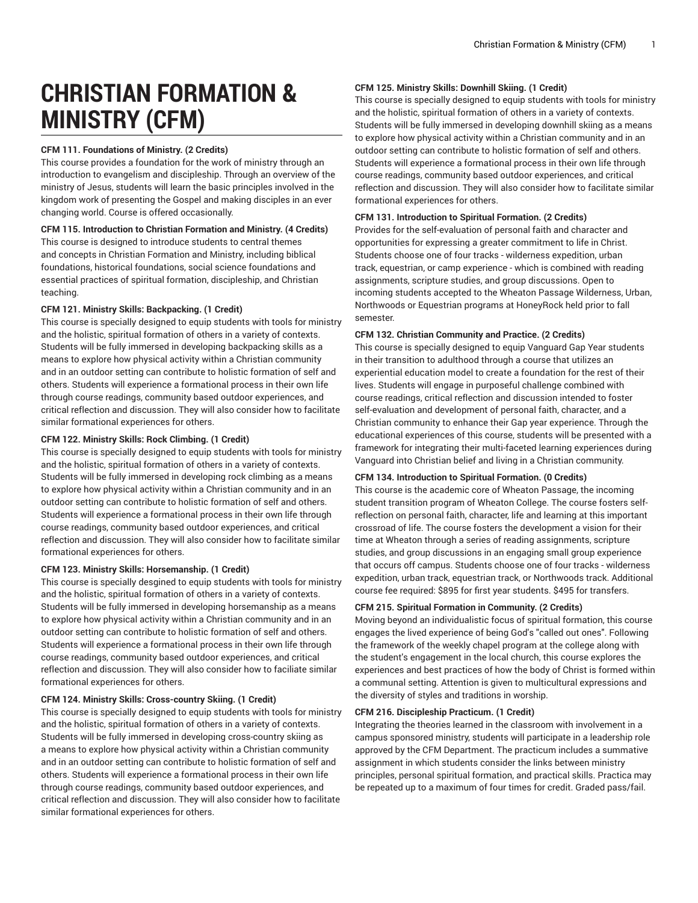# **CHRISTIAN FORMATION & MINISTRY (CFM)**

# **CFM 111. Foundations of Ministry. (2 Credits)**

This course provides a foundation for the work of ministry through an introduction to evangelism and discipleship. Through an overview of the ministry of Jesus, students will learn the basic principles involved in the kingdom work of presenting the Gospel and making disciples in an ever changing world. Course is offered occasionally.

## **CFM 115. Introduction to Christian Formation and Ministry. (4 Credits)**

This course is designed to introduce students to central themes and concepts in Christian Formation and Ministry, including biblical foundations, historical foundations, social science foundations and essential practices of spiritual formation, discipleship, and Christian teaching.

# **CFM 121. Ministry Skills: Backpacking. (1 Credit)**

This course is specially designed to equip students with tools for ministry and the holistic, spiritual formation of others in a variety of contexts. Students will be fully immersed in developing backpacking skills as a means to explore how physical activity within a Christian community and in an outdoor setting can contribute to holistic formation of self and others. Students will experience a formational process in their own life through course readings, community based outdoor experiences, and critical reflection and discussion. They will also consider how to facilitate similar formational experiences for others.

# **CFM 122. Ministry Skills: Rock Climbing. (1 Credit)**

This course is specially designed to equip students with tools for ministry and the holistic, spiritual formation of others in a variety of contexts. Students will be fully immersed in developing rock climbing as a means to explore how physical activity within a Christian community and in an outdoor setting can contribute to holistic formation of self and others. Students will experience a formational process in their own life through course readings, community based outdoor experiences, and critical reflection and discussion. They will also consider how to facilitate similar formational experiences for others.

# **CFM 123. Ministry Skills: Horsemanship. (1 Credit)**

This course is specially desgined to equip students with tools for ministry and the holistic, spiritual formation of others in a variety of contexts. Students will be fully immersed in developing horsemanship as a means to explore how physical activity within a Christian community and in an outdoor setting can contribute to holistic formation of self and others. Students will experience a formational process in their own life through course readings, community based outdoor experiences, and critical reflection and discussion. They will also consider how to faciliate similar formational experiences for others.

## **CFM 124. Ministry Skills: Cross-country Skiing. (1 Credit)**

This course is specially designed to equip students with tools for ministry and the holistic, spiritual formation of others in a variety of contexts. Students will be fully immersed in developing cross-country skiing as a means to explore how physical activity within a Christian community and in an outdoor setting can contribute to holistic formation of self and others. Students will experience a formational process in their own life through course readings, community based outdoor experiences, and critical reflection and discussion. They will also consider how to facilitate similar formational experiences for others.

## **CFM 125. Ministry Skills: Downhill Skiing. (1 Credit)**

This course is specially designed to equip students with tools for ministry and the holistic, spiritual formation of others in a variety of contexts. Students will be fully immersed in developing downhill skiing as a means to explore how physical activity within a Christian community and in an outdoor setting can contribute to holistic formation of self and others. Students will experience a formational process in their own life through course readings, community based outdoor experiences, and critical reflection and discussion. They will also consider how to facilitate similar formational experiences for others.

# **CFM 131. Introduction to Spiritual Formation. (2 Credits)**

Provides for the self-evaluation of personal faith and character and opportunities for expressing a greater commitment to life in Christ. Students choose one of four tracks - wilderness expedition, urban track, equestrian, or camp experience - which is combined with reading assignments, scripture studies, and group discussions. Open to incoming students accepted to the Wheaton Passage Wilderness, Urban, Northwoods or Equestrian programs at HoneyRock held prior to fall semester.

## **CFM 132. Christian Community and Practice. (2 Credits)**

This course is specially designed to equip Vanguard Gap Year students in their transition to adulthood through a course that utilizes an experiential education model to create a foundation for the rest of their lives. Students will engage in purposeful challenge combined with course readings, critical reflection and discussion intended to foster self-evaluation and development of personal faith, character, and a Christian community to enhance their Gap year experience. Through the educational experiences of this course, students will be presented with a framework for integrating their multi-faceted learning experiences during Vanguard into Christian belief and living in a Christian community.

## **CFM 134. Introduction to Spiritual Formation. (0 Credits)**

This course is the academic core of Wheaton Passage, the incoming student transition program of Wheaton College. The course fosters selfreflection on personal faith, character, life and learning at this important crossroad of life. The course fosters the development a vision for their time at Wheaton through a series of reading assignments, scripture studies, and group discussions in an engaging small group experience that occurs off campus. Students choose one of four tracks - wilderness expedition, urban track, equestrian track, or Northwoods track. Additional course fee required: \$895 for first year students. \$495 for transfers.

## **CFM 215. Spiritual Formation in Community. (2 Credits)**

Moving beyond an individualistic focus of spiritual formation, this course engages the lived experience of being God's "called out ones". Following the framework of the weekly chapel program at the college along with the student's engagement in the local church, this course explores the experiences and best practices of how the body of Christ is formed within a communal setting. Attention is given to multicultural expressions and the diversity of styles and traditions in worship.

## **CFM 216. Discipleship Practicum. (1 Credit)**

Integrating the theories learned in the classroom with involvement in a campus sponsored ministry, students will participate in a leadership role approved by the CFM Department. The practicum includes a summative assignment in which students consider the links between ministry principles, personal spiritual formation, and practical skills. Practica may be repeated up to a maximum of four times for credit. Graded pass/fail.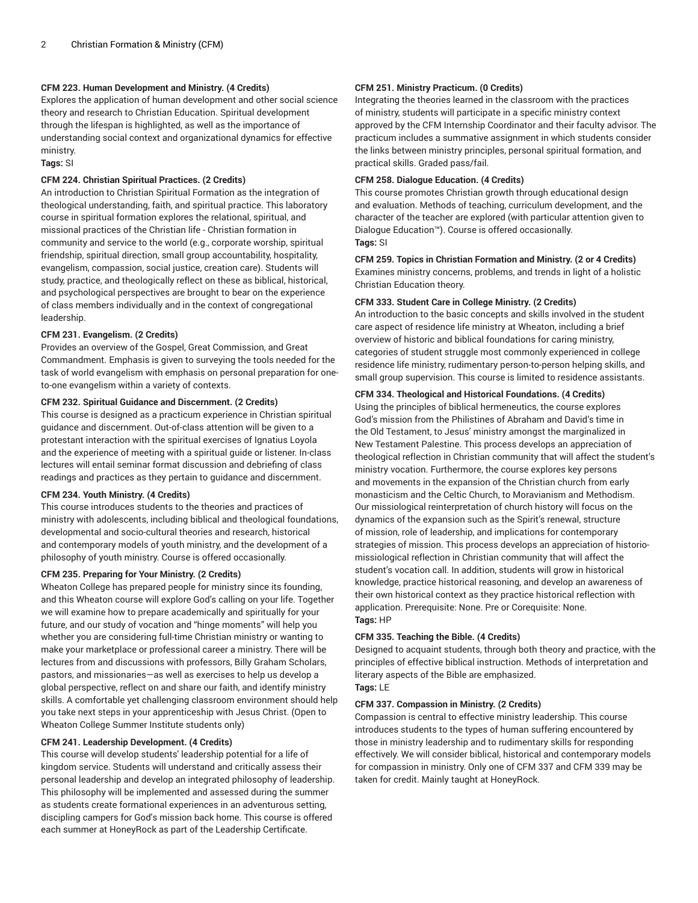# **CFM 223. Human Development and Ministry. (4 Credits)**

Explores the application of human development and other social science theory and research to Christian Education. Spiritual development through the lifespan is highlighted, as well as the importance of understanding social context and organizational dynamics for effective ministry.

**Tags:** SI

## **CFM 224. Christian Spiritual Practices. (2 Credits)**

An introduction to Christian Spiritual Formation as the integration of theological understanding, faith, and spiritual practice. This laboratory course in spiritual formation explores the relational, spiritual, and missional practices of the Christian life - Christian formation in community and service to the world (e.g., corporate worship, spiritual friendship, spiritual direction, small group accountability, hospitality, evangelism, compassion, social justice, creation care). Students will study, practice, and theologically reflect on these as biblical, historical, and psychological perspectives are brought to bear on the experience of class members individually and in the context of congregational leadership.

# **CFM 231. Evangelism. (2 Credits)**

Provides an overview of the Gospel, Great Commission, and Great Commandment. Emphasis is given to surveying the tools needed for the task of world evangelism with emphasis on personal preparation for oneto-one evangelism within a variety of contexts.

# **CFM 232. Spiritual Guidance and Discernment. (2 Credits)**

This course is designed as a practicum experience in Christian spiritual guidance and discernment. Out-of-class attention will be given to a protestant interaction with the spiritual exercises of Ignatius Loyola and the experience of meeting with a spiritual guide or listener. In-class lectures will entail seminar format discussion and debriefing of class readings and practices as they pertain to guidance and discernment.

## **CFM 234. Youth Ministry. (4 Credits)**

This course introduces students to the theories and practices of ministry with adolescents, including biblical and theological foundations, developmental and socio-cultural theories and research, historical and contemporary models of youth ministry, and the development of a philosophy of youth ministry. Course is offered occasionally.

## **CFM 235. Preparing for Your Ministry. (2 Credits)**

Wheaton College has prepared people for ministry since its founding, and this Wheaton course will explore God's calling on your life. Together we will examine how to prepare academically and spiritually for your future, and our study of vocation and "hinge moments" will help you whether you are considering full-time Christian ministry or wanting to make your marketplace or professional career a ministry. There will be lectures from and discussions with professors, Billy Graham Scholars, pastors, and missionaries—as well as exercises to help us develop a global perspective, reflect on and share our faith, and identify ministry skills. A comfortable yet challenging classroom environment should help you take next steps in your apprenticeship with Jesus Christ. (Open to Wheaton College Summer Institute students only)

## **CFM 241. Leadership Development. (4 Credits)**

This course will develop students' leadership potential for a life of kingdom service. Students will understand and critically assess their personal leadership and develop an integrated philosophy of leadership. This philosophy will be implemented and assessed during the summer as students create formational experiences in an adventurous setting, discipling campers for God's mission back home. This course is offered each summer at HoneyRock as part of the Leadership Certificate.

# **CFM 251. Ministry Practicum. (0 Credits)**

Integrating the theories learned in the classroom with the practices of ministry, students will participate in a specific ministry context approved by the CFM Internship Coordinator and their faculty advisor. The practicum includes a summative assignment in which students consider the links between ministry principles, personal spiritual formation, and practical skills. Graded pass/fail.

## **CFM 258. Dialogue Education. (4 Credits)**

This course promotes Christian growth through educational design and evaluation. Methods of teaching, curriculum development, and the character of the teacher are explored (with particular attention given to Dialogue Education™). Course is offered occasionally. **Tags:** SI

**CFM 259. Topics in Christian Formation and Ministry. (2 or 4 Credits)** Examines ministry concerns, problems, and trends in light of a holistic Christian Education theory.

## **CFM 333. Student Care in College Ministry. (2 Credits)**

An introduction to the basic concepts and skills involved in the student care aspect of residence life ministry at Wheaton, including a brief overview of historic and biblical foundations for caring ministry, categories of student struggle most commonly experienced in college residence life ministry, rudimentary person-to-person helping skills, and small group supervision. This course is limited to residence assistants.

## **CFM 334. Theological and Historical Foundations. (4 Credits)**

Using the principles of biblical hermeneutics, the course explores God's mission from the Philistines of Abraham and David's time in the Old Testament, to Jesus' ministry amongst the marginalized in New Testament Palestine. This process develops an appreciation of theological reflection in Christian community that will affect the student's ministry vocation. Furthermore, the course explores key persons and movements in the expansion of the Christian church from early monasticism and the Celtic Church, to Moravianism and Methodism. Our missiological reinterpretation of church history will focus on the dynamics of the expansion such as the Spirit's renewal, structure of mission, role of leadership, and implications for contemporary strategies of mission. This process develops an appreciation of historiomissiological reflection in Christian community that will affect the student's vocation call. In addition, students will grow in historical knowledge, practice historical reasoning, and develop an awareness of their own historical context as they practice historical reflection with application. Prerequisite: None. Pre or Corequisite: None. **Tags:** HP

## **CFM 335. Teaching the Bible. (4 Credits)**

Designed to acquaint students, through both theory and practice, with the principles of effective biblical instruction. Methods of interpretation and literary aspects of the Bible are emphasized. **Tags:** LE

## **CFM 337. Compassion in Ministry. (2 Credits)**

Compassion is central to effective ministry leadership. This course introduces students to the types of human suffering encountered by those in ministry leadership and to rudimentary skills for responding effectively. We will consider biblical, historical and contemporary models for compassion in ministry. Only one of CFM 337 and CFM 339 may be taken for credit. Mainly taught at HoneyRock.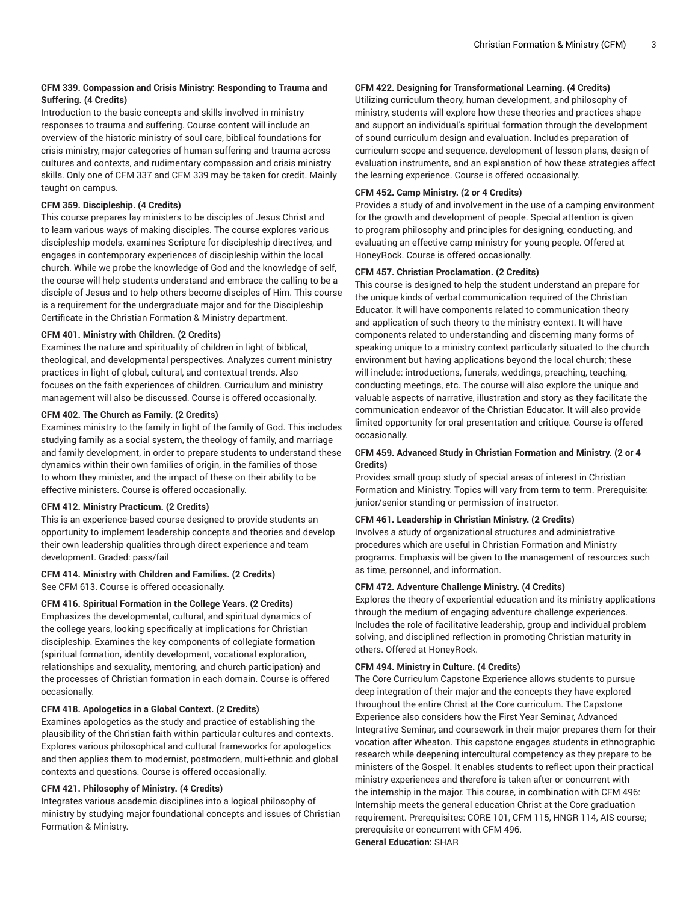# **CFM 339. Compassion and Crisis Ministry: Responding to Trauma and Suffering. (4 Credits)**

Introduction to the basic concepts and skills involved in ministry responses to trauma and suffering. Course content will include an overview of the historic ministry of soul care, biblical foundations for crisis ministry, major categories of human suffering and trauma across cultures and contexts, and rudimentary compassion and crisis ministry skills. Only one of CFM 337 and CFM 339 may be taken for credit. Mainly taught on campus.

## **CFM 359. Discipleship. (4 Credits)**

This course prepares lay ministers to be disciples of Jesus Christ and to learn various ways of making disciples. The course explores various discipleship models, examines Scripture for discipleship directives, and engages in contemporary experiences of discipleship within the local church. While we probe the knowledge of God and the knowledge of self, the course will help students understand and embrace the calling to be a disciple of Jesus and to help others become disciples of Him. This course is a requirement for the undergraduate major and for the Discipleship Certificate in the Christian Formation & Ministry department.

# **CFM 401. Ministry with Children. (2 Credits)**

Examines the nature and spirituality of children in light of biblical, theological, and developmental perspectives. Analyzes current ministry practices in light of global, cultural, and contextual trends. Also focuses on the faith experiences of children. Curriculum and ministry management will also be discussed. Course is offered occasionally.

# **CFM 402. The Church as Family. (2 Credits)**

Examines ministry to the family in light of the family of God. This includes studying family as a social system, the theology of family, and marriage and family development, in order to prepare students to understand these dynamics within their own families of origin, in the families of those to whom they minister, and the impact of these on their ability to be effective ministers. Course is offered occasionally.

# **CFM 412. Ministry Practicum. (2 Credits)**

This is an experience-based course designed to provide students an opportunity to implement leadership concepts and theories and develop their own leadership qualities through direct experience and team development. Graded: pass/fail

#### **CFM 414. Ministry with Children and Families. (2 Credits)** See CFM 613. Course is offered occasionally.

**CFM 416. Spiritual Formation in the College Years. (2 Credits)**

Emphasizes the developmental, cultural, and spiritual dynamics of the college years, looking specifically at implications for Christian discipleship. Examines the key components of collegiate formation (spiritual formation, identity development, vocational exploration, relationships and sexuality, mentoring, and church participation) and the processes of Christian formation in each domain. Course is offered occasionally.

# **CFM 418. Apologetics in a Global Context. (2 Credits)**

Examines apologetics as the study and practice of establishing the plausibility of the Christian faith within particular cultures and contexts. Explores various philosophical and cultural frameworks for apologetics and then applies them to modernist, postmodern, multi-ethnic and global contexts and questions. Course is offered occasionally.

# **CFM 421. Philosophy of Ministry. (4 Credits)**

Integrates various academic disciplines into a logical philosophy of ministry by studying major foundational concepts and issues of Christian Formation & Ministry.

# **CFM 422. Designing for Transformational Learning. (4 Credits)**

Utilizing curriculum theory, human development, and philosophy of ministry, students will explore how these theories and practices shape and support an individual's spiritual formation through the development of sound curriculum design and evaluation. Includes preparation of curriculum scope and sequence, development of lesson plans, design of evaluation instruments, and an explanation of how these strategies affect the learning experience. Course is offered occasionally.

## **CFM 452. Camp Ministry. (2 or 4 Credits)**

Provides a study of and involvement in the use of a camping environment for the growth and development of people. Special attention is given to program philosophy and principles for designing, conducting, and evaluating an effective camp ministry for young people. Offered at HoneyRock. Course is offered occasionally.

## **CFM 457. Christian Proclamation. (2 Credits)**

This course is designed to help the student understand an prepare for the unique kinds of verbal communication required of the Christian Educator. It will have components related to communication theory and application of such theory to the ministry context. It will have components related to understanding and discerning many forms of speaking unique to a ministry context particularly situated to the church environment but having applications beyond the local church; these will include: introductions, funerals, weddings, preaching, teaching, conducting meetings, etc. The course will also explore the unique and valuable aspects of narrative, illustration and story as they facilitate the communication endeavor of the Christian Educator. It will also provide limited opportunity for oral presentation and critique. Course is offered occasionally.

# **CFM 459. Advanced Study in Christian Formation and Ministry. (2 or 4 Credits)**

Provides small group study of special areas of interest in Christian Formation and Ministry. Topics will vary from term to term. Prerequisite: junior/senior standing or permission of instructor.

# **CFM 461. Leadership in Christian Ministry. (2 Credits)**

Involves a study of organizational structures and administrative procedures which are useful in Christian Formation and Ministry programs. Emphasis will be given to the management of resources such as time, personnel, and information.

## **CFM 472. Adventure Challenge Ministry. (4 Credits)**

Explores the theory of experiential education and its ministry applications through the medium of engaging adventure challenge experiences. Includes the role of facilitative leadership, group and individual problem solving, and disciplined reflection in promoting Christian maturity in others. Offered at HoneyRock.

## **CFM 494. Ministry in Culture. (4 Credits)**

The Core Curriculum Capstone Experience allows students to pursue deep integration of their major and the concepts they have explored throughout the entire Christ at the Core curriculum. The Capstone Experience also considers how the First Year Seminar, Advanced Integrative Seminar, and coursework in their major prepares them for their vocation after Wheaton. This capstone engages students in ethnographic research while deepening intercultural competency as they prepare to be ministers of the Gospel. It enables students to reflect upon their practical ministry experiences and therefore is taken after or concurrent with the internship in the major. This course, in combination with CFM 496: Internship meets the general education Christ at the Core graduation requirement. Prerequisites: CORE 101, CFM 115, HNGR 114, AIS course; prerequisite or concurrent with CFM 496. **General Education:** SHAR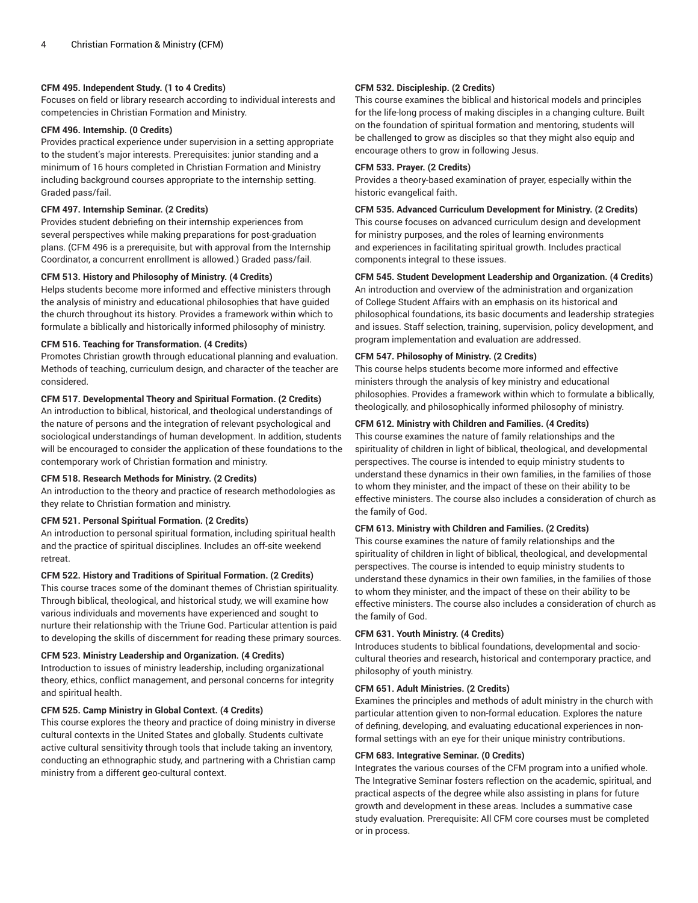## **CFM 495. Independent Study. (1 to 4 Credits)**

Focuses on field or library research according to individual interests and competencies in Christian Formation and Ministry.

# **CFM 496. Internship. (0 Credits)**

Provides practical experience under supervision in a setting appropriate to the student's major interests. Prerequisites: junior standing and a minimum of 16 hours completed in Christian Formation and Ministry including background courses appropriate to the internship setting. Graded pass/fail.

## **CFM 497. Internship Seminar. (2 Credits)**

Provides student debriefing on their internship experiences from several perspectives while making preparations for post-graduation plans. (CFM 496 is a prerequisite, but with approval from the Internship Coordinator, a concurrent enrollment is allowed.) Graded pass/fail.

## **CFM 513. History and Philosophy of Ministry. (4 Credits)**

Helps students become more informed and effective ministers through the analysis of ministry and educational philosophies that have guided the church throughout its history. Provides a framework within which to formulate a biblically and historically informed philosophy of ministry.

# **CFM 516. Teaching for Transformation. (4 Credits)**

Promotes Christian growth through educational planning and evaluation. Methods of teaching, curriculum design, and character of the teacher are considered.

## **CFM 517. Developmental Theory and Spiritual Formation. (2 Credits)**

An introduction to biblical, historical, and theological understandings of the nature of persons and the integration of relevant psychological and sociological understandings of human development. In addition, students will be encouraged to consider the application of these foundations to the contemporary work of Christian formation and ministry.

#### **CFM 518. Research Methods for Ministry. (2 Credits)**

An introduction to the theory and practice of research methodologies as they relate to Christian formation and ministry.

# **CFM 521. Personal Spiritual Formation. (2 Credits)**

An introduction to personal spiritual formation, including spiritual health and the practice of spiritual disciplines. Includes an off-site weekend retreat.

# **CFM 522. History and Traditions of Spiritual Formation. (2 Credits)**

This course traces some of the dominant themes of Christian spirituality. Through biblical, theological, and historical study, we will examine how various individuals and movements have experienced and sought to nurture their relationship with the Triune God. Particular attention is paid to developing the skills of discernment for reading these primary sources.

# **CFM 523. Ministry Leadership and Organization. (4 Credits)**

Introduction to issues of ministry leadership, including organizational theory, ethics, conflict management, and personal concerns for integrity and spiritual health.

## **CFM 525. Camp Ministry in Global Context. (4 Credits)**

This course explores the theory and practice of doing ministry in diverse cultural contexts in the United States and globally. Students cultivate active cultural sensitivity through tools that include taking an inventory, conducting an ethnographic study, and partnering with a Christian camp ministry from a different geo-cultural context.

#### **CFM 532. Discipleship. (2 Credits)**

This course examines the biblical and historical models and principles for the life-long process of making disciples in a changing culture. Built on the foundation of spiritual formation and mentoring, students will be challenged to grow as disciples so that they might also equip and encourage others to grow in following Jesus.

#### **CFM 533. Prayer. (2 Credits)**

Provides a theory-based examination of prayer, especially within the historic evangelical faith.

# **CFM 535. Advanced Curriculum Development for Ministry. (2 Credits)**

This course focuses on advanced curriculum design and development for ministry purposes, and the roles of learning environments and experiences in facilitating spiritual growth. Includes practical components integral to these issues.

# **CFM 545. Student Development Leadership and Organization. (4 Credits)**

An introduction and overview of the administration and organization of College Student Affairs with an emphasis on its historical and philosophical foundations, its basic documents and leadership strategies and issues. Staff selection, training, supervision, policy development, and program implementation and evaluation are addressed.

#### **CFM 547. Philosophy of Ministry. (2 Credits)**

This course helps students become more informed and effective ministers through the analysis of key ministry and educational philosophies. Provides a framework within which to formulate a biblically, theologically, and philosophically informed philosophy of ministry.

#### **CFM 612. Ministry with Children and Families. (4 Credits)**

This course examines the nature of family relationships and the spirituality of children in light of biblical, theological, and developmental perspectives. The course is intended to equip ministry students to understand these dynamics in their own families, in the families of those to whom they minister, and the impact of these on their ability to be effective ministers. The course also includes a consideration of church as the family of God.

# **CFM 613. Ministry with Children and Families. (2 Credits)**

This course examines the nature of family relationships and the spirituality of children in light of biblical, theological, and developmental perspectives. The course is intended to equip ministry students to understand these dynamics in their own families, in the families of those to whom they minister, and the impact of these on their ability to be effective ministers. The course also includes a consideration of church as the family of God.

#### **CFM 631. Youth Ministry. (4 Credits)**

Introduces students to biblical foundations, developmental and sociocultural theories and research, historical and contemporary practice, and philosophy of youth ministry.

#### **CFM 651. Adult Ministries. (2 Credits)**

Examines the principles and methods of adult ministry in the church with particular attention given to non-formal education. Explores the nature of defining, developing, and evaluating educational experiences in nonformal settings with an eye for their unique ministry contributions.

#### **CFM 683. Integrative Seminar. (0 Credits)**

Integrates the various courses of the CFM program into a unified whole. The Integrative Seminar fosters reflection on the academic, spiritual, and practical aspects of the degree while also assisting in plans for future growth and development in these areas. Includes a summative case study evaluation. Prerequisite: All CFM core courses must be completed or in process.